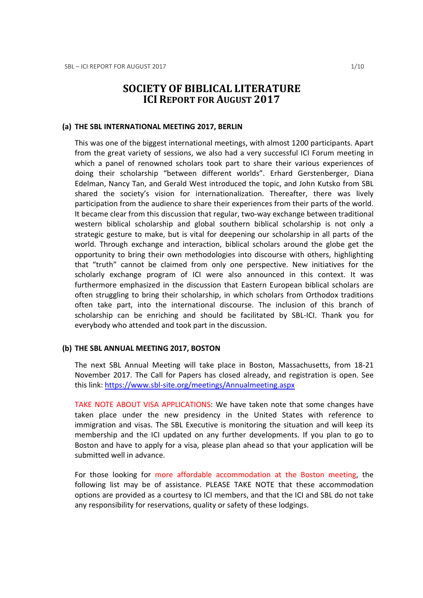# SOCIETY OF BIBLICAL LITERATURE ICI REPORT FOR AUGUST 2017

#### (a) THE SBL INTERNATIONAL MEETING 2017, BERLIN

This was one of the biggest international meetings, with almost 1200 participants. Apart from the great variety of sessions, we also had a very successful ICI Forum meeting in which a panel of renowned scholars took part to share their various experiences of doing their scholarship "between different worlds". Erhard Gerstenberger, Diana Edelman, Nancy Tan, and Gerald West introduced the topic, and John Kutsko from SBL shared the society's vision for internationalization. Thereafter, there was lively participation from the audience to share their experiences from their parts of the world. It became clear from this discussion that regular, two-way exchange between traditional western biblical scholarship and global southern biblical scholarship is not only a strategic gesture to make, but is vital for deepening our scholarship in all parts of the world. Through exchange and interaction, biblical scholars around the globe get the opportunity to bring their own methodologies into discourse with others, highlighting that "truth" cannot be claimed from only one perspective. New initiatives for the scholarly exchange program of ICI were also announced in this context. It was furthermore emphasized in the discussion that Eastern European biblical scholars are often struggling to bring their scholarship, in which scholars from Orthodox traditions often take part, into the international discourse. The inclusion of this branch of scholarship can be enriching and should be facilitated by SBL-ICI. Thank you for everybody who attended and took part in the discussion.

#### (b) THE SBL ANNUAL MEETING 2017, BOSTON

The next SBL Annual Meeting will take place in Boston, Massachusetts, from 18-21 November 2017. The Call for Papers has closed already, and registration is open. See this link: https://www.sbl-site.org/meetings/Annualmeeting.aspx

TAKE NOTE ABOUT VISA APPLICATIONS: We have taken note that some changes have taken place under the new presidency in the United States with reference to immigration and visas. The SBL Executive is monitoring the situation and will keep its membership and the ICI updated on any further developments. If you plan to go to Boston and have to apply for a visa, please plan ahead so that your application will be submitted well in advance.

For those looking for more affordable accommodation at the Boston meeting, the following list may be of assistance. PLEASE TAKE NOTE that these accommodation options are provided as a courtesy to ICI members, and that the ICI and SBL do not take any responsibility for reservations, quality or safety of these lodgings.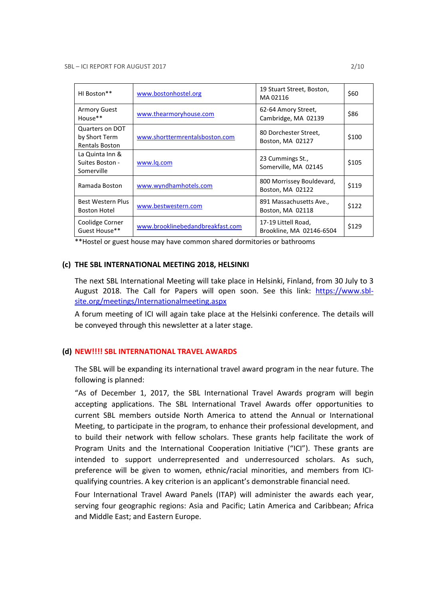| HI Boston**                                               | www.bostonhostel.org             | 19 Stuart Street, Boston,<br>MA02116            | \$60  |
|-----------------------------------------------------------|----------------------------------|-------------------------------------------------|-------|
| <b>Armory Guest</b><br>House**                            | www.thearmoryhouse.com           | 62-64 Amory Street,<br>Cambridge, MA 02139      | \$86  |
| Quarters on DOT<br>by Short Term<br><b>Rentals Boston</b> | www.shorttermrentalsboston.com   | 80 Dorchester Street,<br>Boston, MA 02127       | \$100 |
| La Quinta Inn &<br>Suites Boston -<br>Somerville          | www.lg.com                       | 23 Cummings St.,<br>Somerville, MA 02145        | \$105 |
| Ramada Boston                                             | www.wyndhamhotels.com            | 800 Morrissey Bouldevard,<br>Boston, MA 02122   | \$119 |
| Best Western Plus<br><b>Boston Hotel</b>                  | www.bestwestern.com              | 891 Massachusetts Ave.,<br>Boston, MA 02118     | \$122 |
| Coolidge Corner<br>Guest House**                          | www.brooklinebedandbreakfast.com | 17-19 Littell Road,<br>Brookline, MA 02146-6504 | \$129 |

\*\*Hostel or guest house may have common shared dormitories or bathrooms

#### (c) THE SBL INTERNATIONAL MEETING 2018, HELSINKI

The next SBL International Meeting will take place in Helsinki, Finland, from 30 July to 3 August 2018. The Call for Papers will open soon. See this link: https://www.sblsite.org/meetings/Internationalmeeting.aspx

A forum meeting of ICI will again take place at the Helsinki conference. The details will be conveyed through this newsletter at a later stage.

#### (d) NEW!!!! SBL INTERNATIONAL TRAVEL AWARDS

The SBL will be expanding its international travel award program in the near future. The following is planned:

"As of December 1, 2017, the SBL International Travel Awards program will begin accepting applications. The SBL International Travel Awards offer opportunities to current SBL members outside North America to attend the Annual or International Meeting, to participate in the program, to enhance their professional development, and to build their network with fellow scholars. These grants help facilitate the work of Program Units and the International Cooperation Initiative ("ICI"). These grants are intended to support underrepresented and underresourced scholars. As such, preference will be given to women, ethnic/racial minorities, and members from ICIqualifying countries. A key criterion is an applicant's demonstrable financial need.

Four International Travel Award Panels (ITAP) will administer the awards each year, serving four geographic regions: Asia and Pacific; Latin America and Caribbean; Africa and Middle East; and Eastern Europe.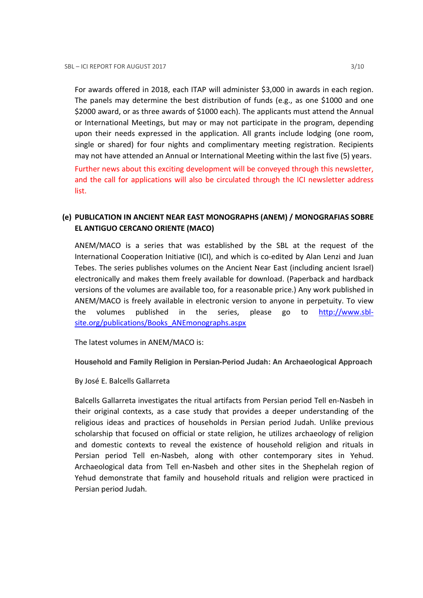For awards offered in 2018, each ITAP will administer \$3,000 in awards in each region. The panels may determine the best distribution of funds (e.g., as one \$1000 and one \$2000 award, or as three awards of \$1000 each). The applicants must attend the Annual or International Meetings, but may or may not participate in the program, depending upon their needs expressed in the application. All grants include lodging (one room, single or shared) for four nights and complimentary meeting registration. Recipients may not have attended an Annual or International Meeting within the last five (5) years. Further news about this exciting development will be conveyed through this newsletter, and the call for applications will also be circulated through the ICI newsletter address list.

# (e) PUBLICATION IN ANCIENT NEAR EAST MONOGRAPHS (ANEM) / MONOGRAFIAS SOBRE EL ANTIGUO CERCANO ORIENTE (MACO)

ANEM/MACO is a series that was established by the SBL at the request of the International Cooperation Initiative (ICI), and which is co-edited by Alan Lenzi and Juan Tebes. The series publishes volumes on the Ancient Near East (including ancient Israel) electronically and makes them freely available for download. (Paperback and hardback versions of the volumes are available too, for a reasonable price.) Any work published in ANEM/MACO is freely available in electronic version to anyone in perpetuity. To view the volumes published in the series, please go to http://www.sblsite.org/publications/Books\_ANEmonographs.aspx

The latest volumes in ANEM/MACO is:

**Household and Family Religion in Persian-Period Judah: An Archaeological Approach** 

By José E. Balcells Gallarreta

Balcells Gallarreta investigates the ritual artifacts from Persian period Tell en-Nasbeh in their original contexts, as a case study that provides a deeper understanding of the religious ideas and practices of households in Persian period Judah. Unlike previous scholarship that focused on official or state religion, he utilizes archaeology of religion and domestic contexts to reveal the existence of household religion and rituals in Persian period Tell en-Nasbeh, along with other contemporary sites in Yehud. Archaeological data from Tell en-Nasbeh and other sites in the Shephelah region of Yehud demonstrate that family and household rituals and religion were practiced in Persian period Judah.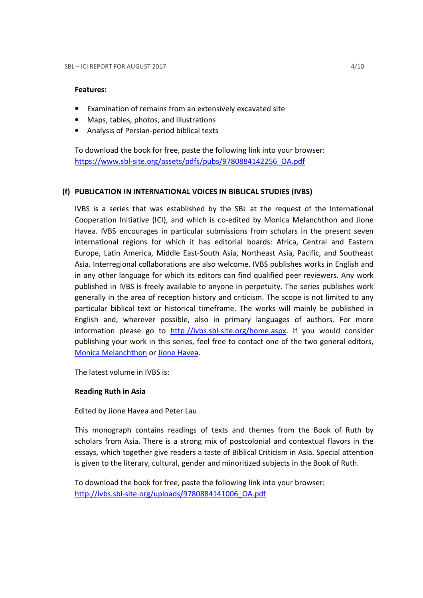## Features:

- Examination of remains from an extensively excavated site
- Maps, tables, photos, and illustrations
- Analysis of Persian-period biblical texts

To download the book for free, paste the following link into your browser: https://www.sbl-site.org/assets/pdfs/pubs/9780884142256\_OA.pdf

## (f) PUBLICATION IN INTERNATIONAL VOICES IN BIBLICAL STUDIES (IVBS)

IVBS is a series that was established by the SBL at the request of the International Cooperation Initiative (ICI), and which is co-edited by Monica Melanchthon and Jione Havea. IVBS encourages in particular submissions from scholars in the present seven international regions for which it has editorial boards: Africa, Central and Eastern Europe, Latin America, Middle East-South Asia, Northeast Asia, Pacific, and Southeast Asia. Interregional collaborations are also welcome. IVBS publishes works in English and in any other language for which its editors can find qualified peer reviewers. Any work published in IVBS is freely available to anyone in perpetuity. The series publishes work generally in the area of reception history and criticism. The scope is not limited to any particular biblical text or historical timeframe. The works will mainly be published in English and, wherever possible, also in primary languages of authors. For more information please go to http://ivbs.sbl-site.org/home.aspx. If you would consider publishing your work in this series, feel free to contact one of the two general editors, Monica Melanchthon or Jione Havea.

The latest volume in IVBS is:

## Reading Ruth in Asia

Edited by Jione Havea and Peter Lau

This monograph contains readings of texts and themes from the Book of Ruth by scholars from Asia. There is a strong mix of postcolonial and contextual flavors in the essays, which together give readers a taste of Biblical Criticism in Asia. Special attention is given to the literary, cultural, gender and minoritized subjects in the Book of Ruth.

To download the book for free, paste the following link into your browser: http://ivbs.sbl-site.org/uploads/9780884141006\_OA.pdf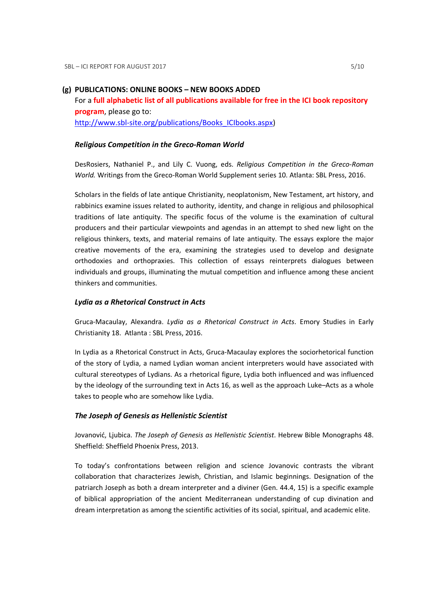#### (g) PUBLICATIONS: ONLINE BOOKS – NEW BOOKS ADDED

For a full alphabetic list of all publications available for free in the ICI book repository program, please go to: http://www.sbl-site.org/publications/Books\_ICIbooks.aspx)

#### Religious Competition in the Greco-Roman World

DesRosiers, Nathaniel P., and Lily C. Vuong, eds. Religious Competition in the Greco-Roman World. Writings from the Greco-Roman World Supplement series 10. Atlanta: SBL Press, 2016.

Scholars in the fields of late antique Christianity, neoplatonism, New Testament, art history, and rabbinics examine issues related to authority, identity, and change in religious and philosophical traditions of late antiquity. The specific focus of the volume is the examination of cultural producers and their particular viewpoints and agendas in an attempt to shed new light on the religious thinkers, texts, and material remains of late antiquity. The essays explore the major creative movements of the era, examining the strategies used to develop and designate orthodoxies and orthopraxies. This collection of essays reinterprets dialogues between individuals and groups, illuminating the mutual competition and influence among these ancient thinkers and communities.

#### Lydia as a Rhetorical Construct in Acts

Gruca-Macaulay, Alexandra. Lydia as a Rhetorical Construct in Acts. Emory Studies in Early Christianity 18. Atlanta : SBL Press, 2016.

In Lydia as a Rhetorical Construct in Acts, Gruca-Macaulay explores the sociorhetorical function of the story of Lydia, a named Lydian woman ancient interpreters would have associated with cultural stereotypes of Lydians. As a rhetorical figure, Lydia both influenced and was influenced by the ideology of the surrounding text in Acts 16, as well as the approach Luke–Acts as a whole takes to people who are somehow like Lydia.

#### The Joseph of Genesis as Hellenistic Scientist

Jovanović, Ljubica. The Joseph of Genesis as Hellenistic Scientist. Hebrew Bible Monographs 48. Sheffield: Sheffield Phoenix Press, 2013.

To today's confrontations between religion and science Jovanovic contrasts the vibrant collaboration that characterizes Jewish, Christian, and Islamic beginnings. Designation of the patriarch Joseph as both a dream interpreter and a diviner (Gen. 44.4, 15) is a specific example of biblical appropriation of the ancient Mediterranean understanding of cup divination and dream interpretation as among the scientific activities of its social, spiritual, and academic elite.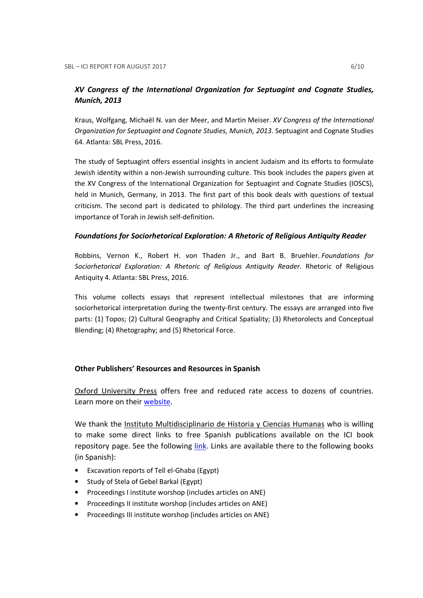# XV Congress of the International Organization for Septuagint and Cognate Studies, Munich, 2013

Kraus, Wolfgang, Michaël N. van der Meer, and Martin Meiser. XV Congress of the International Organization for Septuagint and Cognate Studies, Munich, 2013. Septuagint and Cognate Studies 64. Atlanta: SBL Press, 2016.

The study of Septuagint offers essential insights in ancient Judaism and its efforts to formulate Jewish identity within a non-Jewish surrounding culture. This book includes the papers given at the XV Congress of the International Organization for Septuagint and Cognate Studies (IOSCS), held in Munich, Germany, in 2013. The first part of this book deals with questions of textual criticism. The second part is dedicated to philology. The third part underlines the increasing importance of Torah in Jewish self-definition.

## Foundations for Sociorhetorical Exploration: A Rhetoric of Religious Antiquity Reader

Robbins, Vernon K., Robert H. von Thaden Jr., and Bart B. Bruehler. Foundations for Sociorhetorical Exploration: A Rhetoric of Religious Antiquity Reader. Rhetoric of Religious Antiquity 4. Atlanta: SBL Press, 2016.

This volume collects essays that represent intellectual milestones that are informing sociorhetorical interpretation during the twenty-first century. The essays are arranged into five parts: (1) Topos; (2) Cultural Geography and Critical Spatiality; (3) Rhetorolects and Conceptual Blending; (4) Rhetography; and (5) Rhetorical Force.

## Other Publishers' Resources and Resources in Spanish

Oxford University Press offers free and reduced rate access to dozens of countries. Learn more on their website.

We thank the Instituto Multidisciplinario de Historia y Ciencias Humanas who is willing to make some direct links to free Spanish publications available on the ICI book repository page. See the following link. Links are available there to the following books (in Spanish):

- Excavation reports of Tell el-Ghaba (Egypt)
- Study of Stela of Gebel Barkal (Egypt)
- Proceedings I institute worshop (includes articles on ANE)
- Proceedings II institute worshop (includes articles on ANE)
- Proceedings III institute worshop (includes articles on ANE)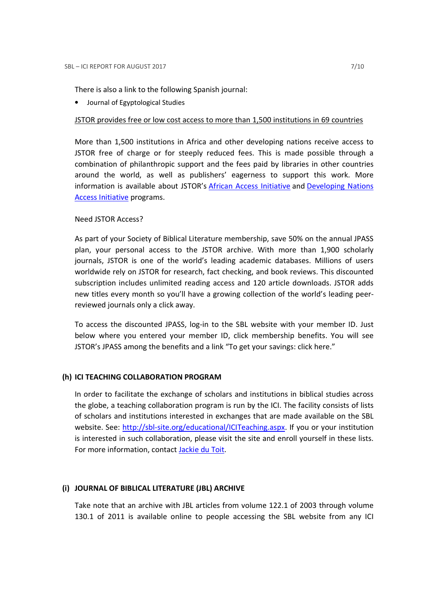There is also a link to the following Spanish journal:

• Journal of Egyptological Studies

## JSTOR provides free or low cost access to more than 1,500 institutions in 69 countries

More than 1,500 institutions in Africa and other developing nations receive access to JSTOR free of charge or for steeply reduced fees. This is made possible through a combination of philanthropic support and the fees paid by libraries in other countries around the world, as well as publishers' eagerness to support this work. More information is available about JSTOR's African Access Initiative and Developing Nations Access Initiative programs.

## Need JSTOR Access?

As part of your Society of Biblical Literature membership, save 50% on the annual JPASS plan, your personal access to the JSTOR archive. With more than 1,900 scholarly journals, JSTOR is one of the world's leading academic databases. Millions of users worldwide rely on JSTOR for research, fact checking, and book reviews. This discounted subscription includes unlimited reading access and 120 article downloads. JSTOR adds new titles every month so you'll have a growing collection of the world's leading peerreviewed journals only a click away.

To access the discounted JPASS, log-in to the SBL website with your member ID. Just below where you entered your member ID, click membership benefits. You will see JSTOR's JPASS among the benefits and a link "To get your savings: click here."

## (h) ICI TEACHING COLLABORATION PROGRAM

In order to facilitate the exchange of scholars and institutions in biblical studies across the globe, a teaching collaboration program is run by the ICI. The facility consists of lists of scholars and institutions interested in exchanges that are made available on the SBL website. See: http://sbl-site.org/educational/ICITeaching.aspx. If you or your institution is interested in such collaboration, please visit the site and enroll yourself in these lists. For more information, contact Jackie du Toit.

## (i) JOURNAL OF BIBLICAL LITERATURE (JBL) ARCHIVE

Take note that an archive with JBL articles from volume 122.1 of 2003 through volume 130.1 of 2011 is available online to people accessing the SBL website from any ICI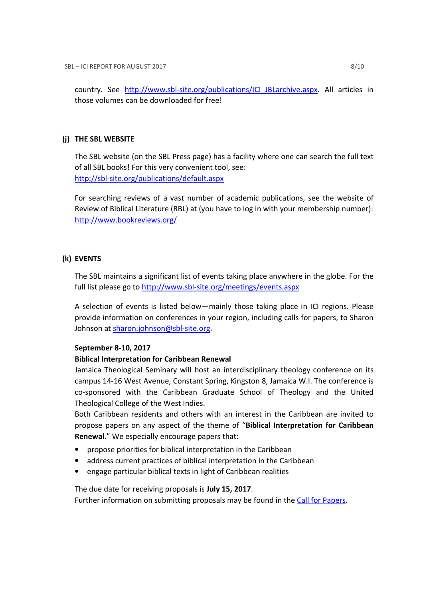country. See http://www.sbl-site.org/publications/ICI\_JBLarchive.aspx. All articles in those volumes can be downloaded for free!

## (j) THE SBL WEBSITE

The SBL website (on the SBL Press page) has a facility where one can search the full text of all SBL books! For this very convenient tool, see: http://sbl-site.org/publications/default.aspx

For searching reviews of a vast number of academic publications, see the website of Review of Biblical Literature (RBL) at (you have to log in with your membership number): http://www.bookreviews.org/

# (k) EVENTS

The SBL maintains a significant list of events taking place anywhere in the globe. For the full list please go to http://www.sbl-site.org/meetings/events.aspx

A selection of events is listed below—mainly those taking place in ICI regions. Please provide information on conferences in your region, including calls for papers, to Sharon Johnson at sharon.johnson@sbl-site.org.

## September 8-10, 2017

## Biblical Interpretation for Caribbean Renewal

Jamaica Theological Seminary will host an interdisciplinary theology conference on its campus 14-16 West Avenue, Constant Spring, Kingston 8, Jamaica W.I. The conference is co-sponsored with the Caribbean Graduate School of Theology and the United Theological College of the West Indies.

Both Caribbean residents and others with an interest in the Caribbean are invited to propose papers on any aspect of the theme of "Biblical Interpretation for Caribbean Renewal." We especially encourage papers that:

- propose priorities for biblical interpretation in the Caribbean
- address current practices of biblical interpretation in the Caribbean
- engage particular biblical texts in light of Caribbean realities

The due date for receiving proposals is July 15, 2017.

Further information on submitting proposals may be found in the Call for Papers.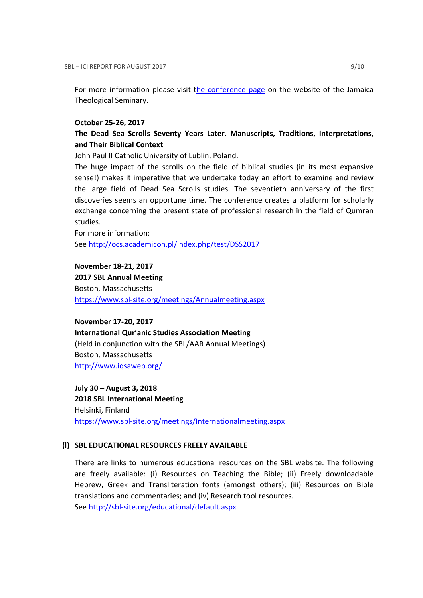For more information please visit the conference page on the website of the Jamaica Theological Seminary.

#### October 25-26, 2017

# The Dead Sea Scrolls Seventy Years Later. Manuscripts, Traditions, Interpretations, and Their Biblical Context

John Paul II Catholic University of Lublin, Poland.

The huge impact of the scrolls on the field of biblical studies (in its most expansive sense!) makes it imperative that we undertake today an effort to examine and review the large field of Dead Sea Scrolls studies. The seventieth anniversary of the first discoveries seems an opportune time. The conference creates a platform for scholarly exchange concerning the present state of professional research in the field of Qumran studies.

For more information: See http://ocs.academicon.pl/index.php/test/DSS2017

November 18-21, 2017

2017 SBL Annual Meeting Boston, Massachusetts

https://www.sbl-site.org/meetings/Annualmeeting.aspx

November 17-20, 2017 International Qur'anic Studies Association Meeting (Held in conjunction with the SBL/AAR Annual Meetings) Boston, Massachusetts http://www.iqsaweb.org/

July 30 – August 3, 2018 2018 SBL International Meeting Helsinki, Finland https://www.sbl-site.org/meetings/Internationalmeeting.aspx

#### (l) SBL EDUCATIONAL RESOURCES FREELY AVAILABLE

There are links to numerous educational resources on the SBL website. The following are freely available: (i) Resources on Teaching the Bible; (ii) Freely downloadable Hebrew, Greek and Transliteration fonts (amongst others); (iii) Resources on Bible translations and commentaries; and (iv) Research tool resources. See http://sbl-site.org/educational/default.aspx